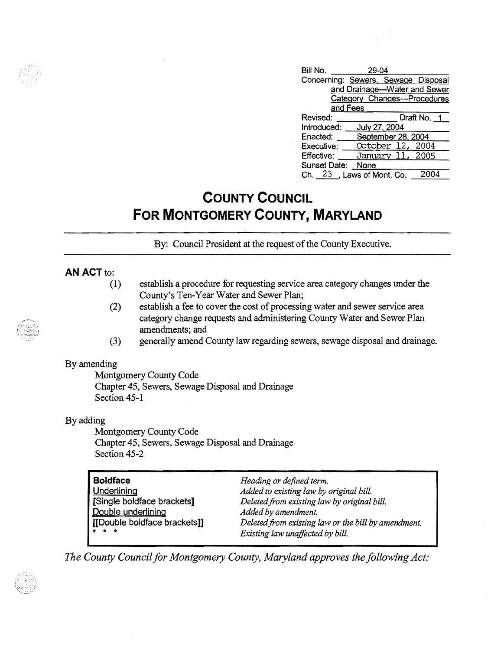| Bill No.<br>29-04            |                                     |             |
|------------------------------|-------------------------------------|-------------|
|                              | Concerning: Sewers, Sewage Disposal |             |
| and Drainage-Water and Sewer |                                     |             |
| Category Changes-Procedures  |                                     |             |
| and Fees                     |                                     |             |
| Revised:                     |                                     | Draft No. 1 |
| Introduced:                  | July 27, 2004                       |             |
| Enacted:                     | September 28, 2004                  |             |
| Executive:                   | October 12, 2004                    |             |
| Effective:                   | January 11, 2005                    |             |
| Sunset Date:                 | None                                |             |
|                              | Ch. 23, Laws of Mont. Co.           |             |

## **COUNTY COUNCIL FOR MONTGOMERY COUNTY, MARYLAND**

By: Council President at the request of the County Executive.

### **AN ACT to:**

- (1) establish a procedure for requesting service area category changes under the County's Ten-Year Water and Sewer Plan;
- (2) establish a fee to cover the cost of processing water and sewer service area category change requests and administering County Water and Sewer Plan amendments; and
- (3) generally amend County law regarding sewers, sewage disposal and drainage.

#### By amending

Montgomery County Code Chapter 45, Sewers, Sewage Disposal and Drainage Section 45-1

#### By adding

Montgomery County Code Chapter 45, Sewers, Sewage Disposal and Drainage Section 45-2

| <b>Boldface</b>              | Heading or defined term.                            |
|------------------------------|-----------------------------------------------------|
| Underlining                  | Added to existing law by original bill.             |
| [Single boldface brackets]   | Deleted from existing law by original bill.         |
| Double underlining           | Added by amendment.                                 |
| [[Double boldface brackets]] | Deleted from existing law or the bill by amendment. |
| * * *                        | Existing law unaffected by bill.                    |

*The County Council for Montgomery County, Maryland approves the following Act:*